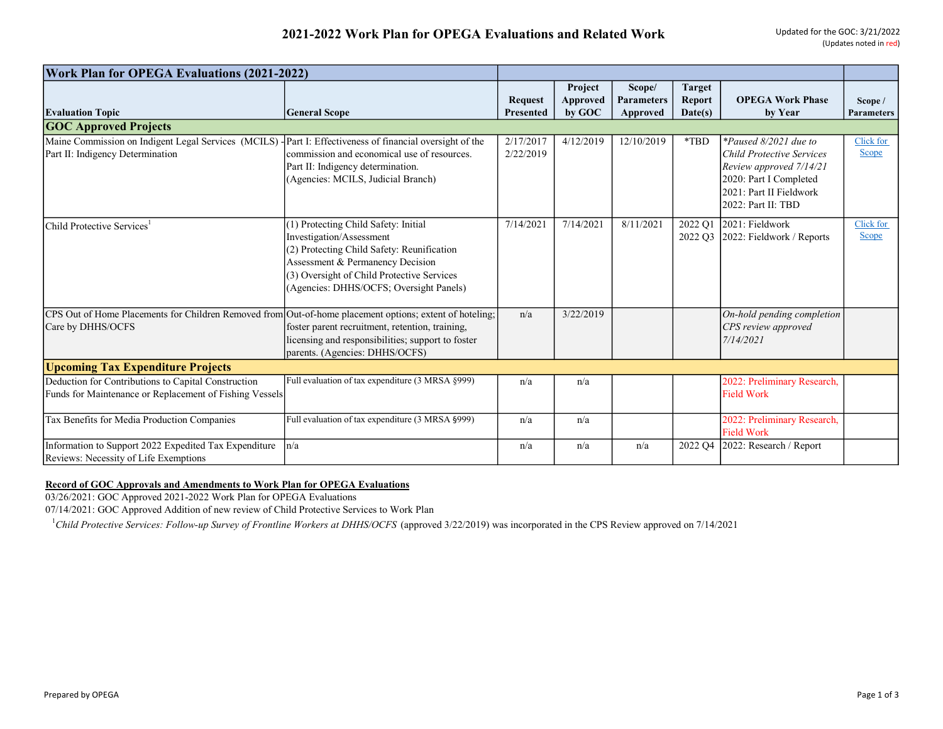## 2021-2022 Work Plan for OPEGA Evaluations and Related Work Updated for the GOC: 3/21/2022

| <b>Work Plan for OPEGA Evaluations (2021-2022)</b>                                                                                            |                                                                                                                                                                                                                                             |                                    |                               |                                         |                                           |                                                                                                                                                            |                              |
|-----------------------------------------------------------------------------------------------------------------------------------------------|---------------------------------------------------------------------------------------------------------------------------------------------------------------------------------------------------------------------------------------------|------------------------------------|-------------------------------|-----------------------------------------|-------------------------------------------|------------------------------------------------------------------------------------------------------------------------------------------------------------|------------------------------|
| <b>Evaluation Topic</b>                                                                                                                       | <b>General Scope</b>                                                                                                                                                                                                                        | <b>Request</b><br><b>Presented</b> | Project<br>Approved<br>by GOC | Scope/<br><b>Parameters</b><br>Approved | <b>Target</b><br><b>Report</b><br>Date(s) | <b>OPEGA Work Phase</b><br>by Year                                                                                                                         | Scope /<br><b>Parameters</b> |
| <b>GOC Approved Projects</b>                                                                                                                  |                                                                                                                                                                                                                                             |                                    |                               |                                         |                                           |                                                                                                                                                            |                              |
| Maine Commission on Indigent Legal Services (MCILS) - Part I: Effectiveness of financial oversight of the<br>Part II: Indigency Determination | commission and economical use of resources.<br>Part II: Indigency determination.<br>(Agencies: MCILS, Judicial Branch)                                                                                                                      | 2/17/2017<br>2/22/2019             | 4/12/2019                     | 12/10/2019                              | $*TBD$                                    | *Paused $8/2021$ due to<br>Child Protective Services<br>Review approved 7/14/21<br>2020: Part I Completed<br>2021: Part II Fieldwork<br>2022: Part II: TBD | Click for<br>Scope           |
| Child Protective Services                                                                                                                     | (1) Protecting Child Safety: Initial<br>Investigation/Assessment<br>(2) Protecting Child Safety: Reunification<br>Assessment & Permanency Decision<br>(3) Oversight of Child Protective Services<br>(Agencies: DHHS/OCFS; Oversight Panels) | 7/14/2021                          | 7/14/2021                     | 8/11/2021                               | 2022 Q1                                   | $2021$ : Fieldwork<br>2022 Q3 $ 2022$ : Fieldwork / Reports                                                                                                | Click for<br>Scope           |
| CPS Out of Home Placements for Children Removed from Out-of-home placement options; extent of hoteling;<br>Care by DHHS/OCFS                  | foster parent recruitment, retention, training,<br>licensing and responsibilities; support to foster<br>parents. (Agencies: DHHS/OCFS)                                                                                                      | n/a                                | 3/22/2019                     |                                         |                                           | On-hold pending completion<br>CPS review approved<br>7/14/2021                                                                                             |                              |
| <b>Upcoming Tax Expenditure Projects</b>                                                                                                      |                                                                                                                                                                                                                                             |                                    |                               |                                         |                                           |                                                                                                                                                            |                              |
| Deduction for Contributions to Capital Construction<br>Funds for Maintenance or Replacement of Fishing Vessels                                | Full evaluation of tax expenditure (3 MRSA §999)                                                                                                                                                                                            | n/a                                | n/a                           |                                         |                                           | 2022: Preliminary Research,<br><b>Field Work</b>                                                                                                           |                              |
| Tax Benefits for Media Production Companies                                                                                                   | Full evaluation of tax expenditure (3 MRSA §999)                                                                                                                                                                                            | n/a                                | n/a                           |                                         |                                           | 2022: Preliminary Research,<br><b>Field Work</b>                                                                                                           |                              |
| Information to Support 2022 Expedited Tax Expenditure<br>Reviews: Necessity of Life Exemptions                                                | ln/a                                                                                                                                                                                                                                        | n/a                                | n/a                           | n/a                                     | 2022 Q4                                   | 2022: Research / Report                                                                                                                                    |                              |

## Record of GOC Approvals and Amendments to Work Plan for OPEGA Evaluations

03/26/2021: GOC Approved 2021-2022 Work Plan for OPEGA Evaluations

07/14/2021: GOC Approved Addition of new review of Child Protective Services to Work Plan

<sup>1</sup>Child Protective Services: Follow-up Survey of Frontline Workers at DHHS/OCFS (approved 3/22/2019) was incorporated in the CPS Review approved on 7/14/2021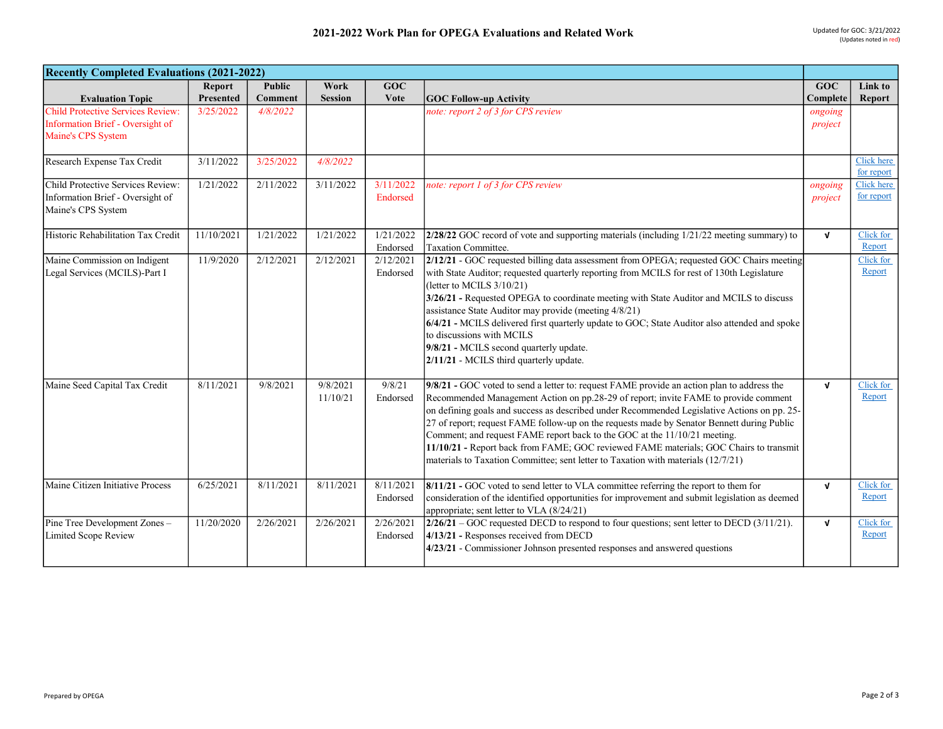| <b>Recently Completed Evaluations (2021-2022)</b>                                           |                            |                          |                        |                           |                                                                                                                                                                                                                                                                                                                                                                                                                                                                                                                                                                                                                                           |                    |                            |
|---------------------------------------------------------------------------------------------|----------------------------|--------------------------|------------------------|---------------------------|-------------------------------------------------------------------------------------------------------------------------------------------------------------------------------------------------------------------------------------------------------------------------------------------------------------------------------------------------------------------------------------------------------------------------------------------------------------------------------------------------------------------------------------------------------------------------------------------------------------------------------------------|--------------------|----------------------------|
| <b>Evaluation Topic</b>                                                                     | <b>Report</b><br>Presented | Public<br><b>Comment</b> | Work<br><b>Session</b> | <b>GOC</b><br><b>Vote</b> | <b>GOC Follow-up Activity</b>                                                                                                                                                                                                                                                                                                                                                                                                                                                                                                                                                                                                             | GOC<br>Complete    | Link to<br>Report          |
| Child Protective Services Review:<br>Information Brief - Oversight of<br>Maine's CPS System | 3/25/2022                  | 4/8/2022                 |                        |                           | note: report 2 of 3 for CPS review                                                                                                                                                                                                                                                                                                                                                                                                                                                                                                                                                                                                        | ongoing<br>project |                            |
| Research Expense Tax Credit                                                                 | 3/11/2022                  | 3/25/2022                | 4/8/2022               |                           |                                                                                                                                                                                                                                                                                                                                                                                                                                                                                                                                                                                                                                           |                    | Click here<br>for report   |
| Child Protective Services Review:<br>Information Brief - Oversight of<br>Maine's CPS System | 1/21/2022                  | 2/11/2022                | 3/11/2022              | 3/11/2022<br>Endorsed     | note: report 1 of 3 for CPS review                                                                                                                                                                                                                                                                                                                                                                                                                                                                                                                                                                                                        | ongoing<br>project | Click here<br>for report   |
| Historic Rehabilitation Tax Credit                                                          | 11/10/2021                 | 1/21/2022                | 1/21/2022              | 1/21/2022<br>Endorsed     | 2/28/22 GOC record of vote and supporting materials (including 1/21/22 meeting summary) to<br>Taxation Committee.                                                                                                                                                                                                                                                                                                                                                                                                                                                                                                                         | $\mathbf v$        | Click for<br>Report        |
| Maine Commission on Indigent<br>Legal Services (MCILS)-Part I                               | 11/9/2020                  | 2/12/2021                | 2/12/2021              | 2/12/2021<br>Endorsed     | 2/12/21 - GOC requested billing data assessment from OPEGA; requested GOC Chairs meeting<br>with State Auditor; requested quarterly reporting from MCILS for rest of 130th Legislature<br>(letter to MCILS 3/10/21)<br>3/26/21 - Requested OPEGA to coordinate meeting with State Auditor and MCILS to discuss<br>assistance State Auditor may provide (meeting 4/8/21)<br>6/4/21 - MCILS delivered first quarterly update to GOC; State Auditor also attended and spoke<br>to discussions with MCILS<br>9/8/21 - MCILS second quarterly update.<br>2/11/21 - MCILS third quarterly update.                                               |                    | Click for<br>Report        |
| Maine Seed Capital Tax Credit                                                               | 8/11/2021                  | 9/8/2021                 | 9/8/2021<br>11/10/21   | 9/8/21<br>Endorsed        | 9/8/21 - GOC voted to send a letter to: request FAME provide an action plan to address the<br>Recommended Management Action on pp.28-29 of report; invite FAME to provide comment<br>on defining goals and success as described under Recommended Legislative Actions on pp. 25-<br>27 of report; request FAME follow-up on the requests made by Senator Bennett during Public<br>Comment; and request FAME report back to the GOC at the 11/10/21 meeting.<br>11/10/21 - Report back from FAME; GOC reviewed FAME materials; GOC Chairs to transmit<br>materials to Taxation Committee; sent letter to Taxation with materials (12/7/21) | $\mathbf v$        | Click for<br>Report        |
| Maine Citizen Initiative Process                                                            | 6/25/2021                  | 8/11/2021                | 8/11/2021              | 8/11/2021<br>Endorsed     | $\left  8/11/21 \right $ - GOC voted to send letter to VLA committee referring the report to them for<br>consideration of the identified opportunities for improvement and submit legislation as deemed<br>appropriate; sent letter to VLA (8/24/21)                                                                                                                                                                                                                                                                                                                                                                                      | $\mathbf v$        | Click for<br><b>Report</b> |
| Pine Tree Development Zones -<br>Limited Scope Review                                       | 11/20/2020                 | 2/26/2021                | 2/26/2021              | 2/26/2021<br>Endorsed     | $2/26/21$ – GOC requested DECD to respond to four questions; sent letter to DECD (3/11/21).<br>$4/13/21$ - Responses received from DECD<br>$4/23/21$ - Commissioner Johnson presented responses and answered questions                                                                                                                                                                                                                                                                                                                                                                                                                    | $\mathbf v$        | Click for<br>Report        |